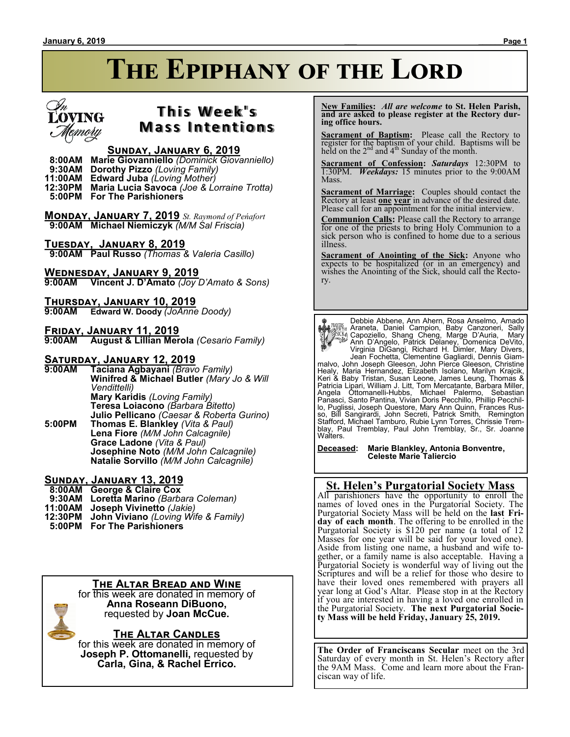# **The Epiphany of the Lord**



### **T h i s We e k ' s Mass Intentions**

#### **Sunday, January 6, 2019**

 **8:00AM Marie Giovanniello** *(Dominick Giovanniello)*

 **9:30AM Dorothy Pizzo** *(Loving Family)*

**11:00AM Edward Juba** *(Loving Mother)*

**12:30PM Maria Lucia Savoca** *(Joe & Lorraine Trotta)*

 **5:00PM For The Parishioners**

**Monday, January 7, 2019** *St. Raymond of Peńafort*  **9:00AM Michael Niemiczyk** *(M/M Sal Friscia)*

**Tuesday, January 8, 2019**

 **9:00AM Paul Russo** *(Thomas & Valeria Casillo)*

**Wednesday, January 9, 2019 9:00AM Vincent J. D'Amato** *(Joy D'Amato & Sons)*

**Thursday, January 10, 2019**

**9:00AM Edward W. Doody** *(JoAnne Doody)*

**Friday, January 11, 2019**

**9:00AM August & Lillian Merola** *(Cesario Family)*

# **Saturday, January 12, 2019**

**9:00AM Taciana Agbayani** *(Bravo Family)* **Winifred & Michael Butler** *(Mary Jo & Will Vendittelli)* **Mary Karidis** *(Loving Family)* **Teresa Loiacono** *(Barbara Bitetto)* **Julio Pellicano** *(Caesar & Roberta Gurino)* **5:00PM Thomas E. Blankley** *(Vita & Paul)* **Lena Fiore** *(M/M John Calcagnile)*

**Grace Ladone** *(Vita & Paul)* **Josephine Noto** *(M/M John Calcagnile)* **Natalie Sorvillo** *(M/M John Calcagnile)*

### **Sunday, January 13, 2019**

 **8:00AM George & Claire Cox**

- **9:30AM Loretta Marino** *(Barbara Coleman)*
- **11:00AM Joseph Vivinetto** *(Jakie)*
- **12:30PM John Viviano** *(Loving Wife & Family)*
- **5:00PM For The Parishioners**

### **The Altar Bread and Wine**

for this week are donated in memory of **Anna Roseann DiBuono,** requested by **Joan McCue.**

**The Altar Candles**

for this week are donated in memory of **Joseph P. Ottomanelli,** requested by **Carla, Gina, & Rachel Errico.**

 **New Families:** *All are welcome* **to St. Helen Parish, and are asked to please register at the Rectory during office hours.**

**Sacrament of Baptism:** Please call the Rectory to register for the baptism of your child. Baptisms will be held on the  $2<sup>nd</sup>$  and  $4<sup>th</sup>$  Sunday of the month.

**Sacrament of Confession:** *Saturdays* 12:30PM to 1:30PM. *Weekdays:* 15 minutes prior to the 9:00AM Mass.

**Sacrament of Marriage:**Couples should contact the Rectory at least **one year** in advance of the desired date. Please call for an appointment for the initial interview.

**Communion Calls:** Please call the Rectory to arrange for one of the priests to bring Holy Communion to a sick person who is confined to home due to a serious illness.

**Sacrament of Anointing of the Sick:** Anyone who expects to be hospitalized (or in an emergency) and wishes the Anointing of the Sick, should call the Rectory.

Debbie Abbene, Ann Ahern, Rosa Anselmo, Amado Assume Araneta, Daniel Campion, Baby Canzoneri, Sally<br>
(Capoziello, Shang Cheng, Marge D'Auria, Mary<br>
Marge D'Auria, Mary<br>
Marge D'Auria, Mary<br>
Marge D'Auria, Mary<br>
Marge D'Auria, Mary<br>
Virginia DiGangi, Richard H. Dimler, Panasci, Santo Pantina, Vivian Doris Pecchillo, Phillip Pecchillo, Puglissi, Joseph Questore, Mary Ann Quinn, Frances Rus-<br>so, Bill Sangirardi, John Secreti, Patrick Smith, Remington<br>Stafford, Michael Tamburo, Rubie Lynn Torres, Chrissie Trem-<br>blay, Paul Tremblay, Paul John Tremblay, Walters.

**Deceased: Marie Blankley, Antonia Bonventre, Celeste Marie Taliercio**

### **St. Helen's Purgatorial Society Mass**

All parishioners have the opportunity to enroll the names of loved ones in the Purgatorial Society. The Purgatorial Society Mass will be held on the **last Friday of each month**. The offering to be enrolled in the Purgatorial Society is \$120 per name (a total of 12 Masses for one year will be said for your loved one). Aside from listing one name, a husband and wife together, or a family name is also acceptable. Having a Purgatorial Society is wonderful way of living out the Scriptures and will be a relief for those who desire to have their loved ones remembered with prayers all year long at God's Altar. Please stop in at the Rectory if you are interested in having a loved one enrolled in the Purgatorial Society. **The next Purgatorial Society Mass will be held Friday, January 25, 2019.**

**The Order of Franciscans Secular** meet on the 3rd Saturday of every month in St. Helen's Rectory after the 9AM Mass. Come and learn more about the Franciscan way of life.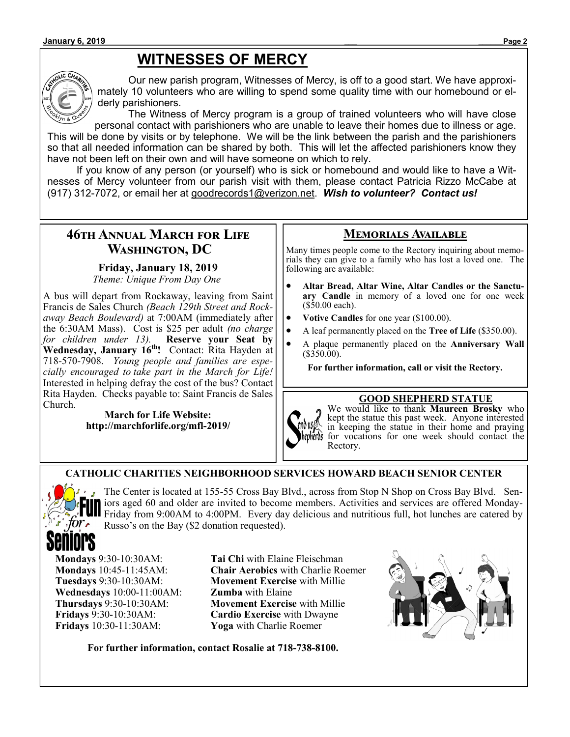# **WITNESSES OF MERCY**



Our new parish program, Witnesses of Mercy, is off to a good start. We have approximately 10 volunteers who are willing to spend some quality time with our homebound or elderly parishioners.

The Witness of Mercy program is a group of trained volunteers who will have close personal contact with parishioners who are unable to leave their homes due to illness or age. This will be done by visits or by telephone. We will be the link between the parish and the parishioners so that all needed information can be shared by both. This will let the affected parishioners know they have not been left on their own and will have someone on which to rely.

If you know of any person (or yourself) who is sick or homebound and would like to have a Witnesses of Mercy volunteer from our parish visit with them, please contact Patricia Rizzo McCabe at (917) 312-7072, or email her at goodrecords1@verizon.net. *Wish to volunteer? Contact us!*

### **46th Annual March for Life Washington, DC**

### **Friday, January 18, 2019**

*Theme: Unique From Day One*

A bus will depart from Rockaway, leaving from Saint Francis de Sales Church *(Beach 129th Street and Rockaway Beach Boulevard)* at 7:00AM (immediately after the 6:30AM Mass). Cost is \$25 per adult *(no charge for children under 13).* **Reserve your Seat by Wednesday, January 16th!** Contact: Rita Hayden at 718-570-7908. *Young people and families are especially encouraged to take part in the March for Life!*  Interested in helping defray the cost of the bus? Contact Rita Hayden. Checks payable to: Saint Francis de Sales Church.

#### **March for Life Website: http://marchforlife.org/mfl-2019/**

### **Memorials Available**

Many times people come to the Rectory inquiring about memorials they can give to a family who has lost a loved one. The following are available:

- **Altar Bread, Altar Wine, Altar Candles or the Sanctuary Candle** in memory of a loved one for one week (\$50.00 each).
- **Votive Candles** for one year (\$100.00).
- A leaf permanently placed on the **Tree of Life** (\$350.00).
- A plaque permanently placed on the **Anniversary Wall**  (\$350.00).

**For further information, call or visit the Rectory.**

### **GOOD SHEPHERD STATUE**



We would like to thank **Maureen Brosky** who kept the statue this past week. Anyone interested in keeping the statue in their home and praying for vocations for one week should contact the Rectory.

### **CATHOLIC CHARITIES NEIGHBORHOOD SERVICES HOWARD BEACH SENIOR CENTER**



The Center is located at 155-55 Cross Bay Blvd., across from Stop N Shop on Cross Bay Blvd. Seniors aged 60 and older are invited to become members. Activities and services are offered Monday-Friday from 9:00AM to 4:00PM. Every day delicious and nutritious full, hot lunches are catered by Russo's on the Bay (\$2 donation requested).

**Wednesdays** 10:00-11:00AM: **Zumba** with Elaine **Fridays** 10:30-11:30AM: **Yoga** with Charlie Roemer

**Mondays** 9:30-10:30AM: **Tai Chi** with Elaine Fleischman **Mondays** 10:45-11:45AM: **Chair Aerobics** with Charlie Roemer **Tuesdays** 9:30-10:30AM: **Movement Exercise** with Millie **Thursdays** 9:30-10:30AM: **Movement Exercise** with Millie **Fridays** 9:30-10:30AM: **Cardio Exercise** with Dwayne



**For further information, contact Rosalie at 718-738-8100.**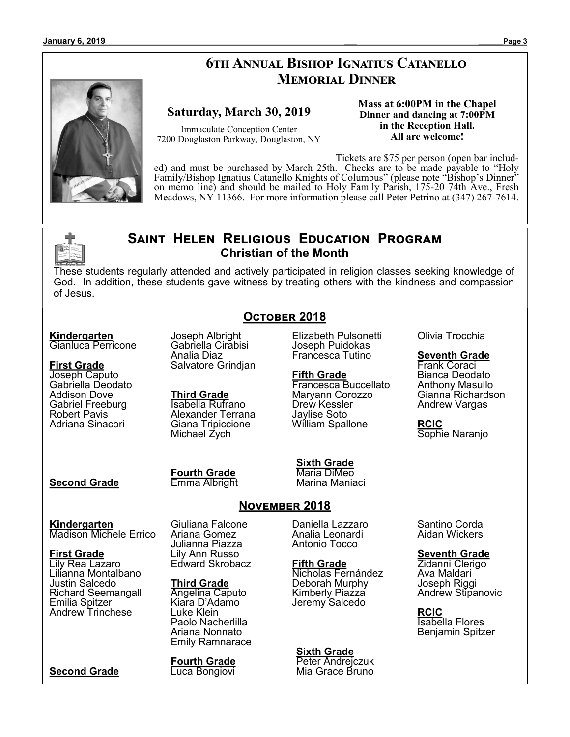#### **January 6, 2019 \_\_\_ \_\_\_\_\_\_Page 3**

## **6th Annual Bishop Ignatius Catanello Memorial Dinner**



### **Saturday, March 30, 2019**

Immaculate Conception Center 7200 Douglaston Parkway, Douglaston, NY **Mass at 6:00PM in the Chapel Dinner and dancing at 7:00PM in the Reception Hall. All are welcome!**

Tickets are \$75 per person (open bar included) and must be purchased by March 25th. Checks are to be made payable to "Holy Family/Bishop Ignatius Catanello Knights of Columbus" (please note "Bishop's Dinner" on memo line) and should be mailed to Holy Family Parish, 175-20 74th Ave., Fresh Meadows, NY 11366. For more information please call Peter Petrino at (347) 267-7614.

### **Saint Helen Religious Education Program Christian of the Month**

These students regularly attended and actively participated in religion classes seeking knowledge of God. In addition, these students gave witness by treating others with the kindness and compassion of Jesus.

**October 2018**

#### **Kindergarten**

Gianluca Perricone

#### **First Grade** Joseph Caputo

Gabriella Deodato Addison Dove Gabriel Freeburg Robert Pavis Adriana Sinacori

Joseph Albright Gabriella Cirabisi Analia Diaz Salvatore Grindjan

**Third Grade** Isabella Rufrano Alexander Terrana Giana Tripiccione Michael Zych

Elizabeth Pulsonetti Joseph Puidokas Francesca Tutino

#### **Fifth Grade**

Francesca Buccellato Maryann Corozzo Drew Kessler Jaylise Soto William Spallone

### **Second Grade**

**Fourth Grade** Emma Albright **Sixth Grade**

Maria DiMeo Marina Maniaci

### **November 2018**

**Kindergarten** Madison Michele Errico

**First Grade** Lily Rea Lazaro Lilianna Montalbano Justin Salcedo Richard Seemangall Emilia Spitzer Andrew Trinchese

**Second Grade**

Giuliana Falcone Ariana Gomez Julianna Piazza Lily Ann Russo Edward Skrobacz

#### **Third Grade**

Angelina Caputo Kiara D'Adamo Luke Klein Paolo Nacherlilla Ariana Nonnato Emily Ramnarace

**Fourth Grade** Luca Bongiovi

Daniella Lazzaro Analia Leonardi Antonio Tocco

**Fifth Grade** Nicholas Fernández Deborah Murphy Kimberly Piazza Jeremy Salcedo

**Sixth Grade** Peter Andrejczuk Mia Grace Bruno Olivia Trocchia

### **Seventh Grade**

Frank Coraci Bianca Deodato Anthony Masullo Gianna Richardson Andrew Vargas

**RCIC** Sophie Naranjo

Santino Corda Aidan Wickers

### **Seventh Grade**

Zidanni Clerigo Ava Maldari Joseph Riggi Andrew Stipanovic

**RCIC** Isabella Flores Benjamin Spitzer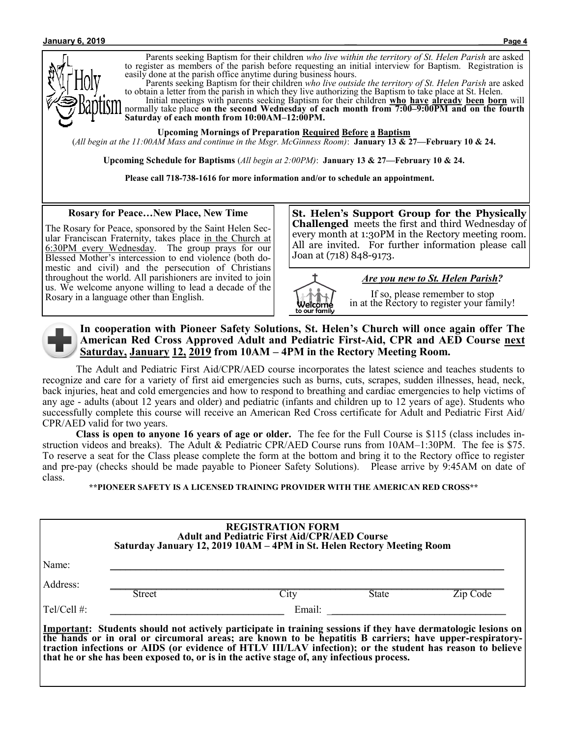

Parents seeking Baptism for their children *who live within the territory of St. Helen Parish* are asked to register as members of the parish before requesting an initial interview for Baptism. Registration is easily done at the parish office anytime during business hours.

Parents seeking Baptism for their children *who live outside the territory of St. Helen Parish* are asked to obtain a letter from the parish in which they live authorizing the Baptism to take place at St. Helen.

Initial meetings with parents seeking Baptism for their children **who have already been born** will normally take place **on the second Wednesday of each month from 7:00–9:00PM and on the fourth Saturday of each month from 10:00AM–12:00PM.**

**Upcoming Mornings of Preparation Required Before a Baptism**

(*All begin at the 11:00AM Mass and continue in the Msgr. McGinness Room)*: **January 13 & 27—February 10 & 24.**

**Upcoming Schedule for Baptisms** (*All begin at 2:00PM)*: **January 13 & 27—February 10 & 24.**

**Please call 718-738-1616 for more information and/or to schedule an appointment.**

**Rosary for Peace…New Place, New Time**

The Rosary for Peace, sponsored by the Saint Helen Secular Franciscan Fraternity, takes place in the Church at 6:30PM every Wednesday. The group prays for our Blessed Mother's intercession to end violence (both domestic and civil) and the persecution of Christians throughout the world. All parishioners are invited to join us. We welcome anyone willing to lead a decade of the Rosary in a language other than English.

**St. Helen's Support Group for the Physically Challenged** meets the first and third Wednesday of every month at 1:30PM in the Rectory meeting room. All are invited. For further information please call Joan at (718) 848-9173.



*Are you new to St. Helen Parish?*

If so, please remember to stop in at the Rectory to register your family!



**In cooperation with Pioneer Safety Solutions, St. Helen's Church will once again offer The American Red Cross Approved Adult and Pediatric First-Aid, CPR and AED Course next Saturday, January 12, 2019 from 10AM – 4PM in the Rectory Meeting Room.**

The Adult and Pediatric First Aid/CPR/AED course incorporates the latest science and teaches students to recognize and care for a variety of first aid emergencies such as burns, cuts, scrapes, sudden illnesses, head, neck, back injuries, heat and cold emergencies and how to respond to breathing and cardiac emergencies to help victims of any age - adults (about 12 years and older) and pediatric (infants and children up to 12 years of age). Students who successfully complete this course will receive an American Red Cross certificate for Adult and Pediatric First Aid/ CPR/AED valid for two years.

**Class is open to anyone 16 years of age or older.** The fee for the Full Course is \$115 (class includes instruction videos and breaks). The Adult & Pediatric CPR/AED Course runs from 10AM–1:30PM. The fee is \$75. To reserve a seat for the Class please complete the form at the bottom and bring it to the Rectory office to register and pre-pay (checks should be made payable to Pioneer Safety Solutions). Please arrive by 9:45AM on date of class.

**\*\*PIONEER SAFETY IS A LICENSED TRAINING PROVIDER WITH THE AMERICAN RED CROSS\*\***

|                | <b>REGISTRATION FORM</b><br><b>Adult and Pediatric First Aid/CPR/AED Course</b><br>Saturday January 12, 2019 10AM – 4PM in St. Helen Rectory Meeting Room |                                                                                                                                                                                                                          |       |          |  |
|----------------|-----------------------------------------------------------------------------------------------------------------------------------------------------------|--------------------------------------------------------------------------------------------------------------------------------------------------------------------------------------------------------------------------|-------|----------|--|
| Name:          |                                                                                                                                                           |                                                                                                                                                                                                                          |       |          |  |
| Address:       | <b>Street</b>                                                                                                                                             | City                                                                                                                                                                                                                     | State | Zip Code |  |
| Tel/Cell $#$ : |                                                                                                                                                           | Email:                                                                                                                                                                                                                   |       |          |  |
|                |                                                                                                                                                           | Important: Students should not actively participate in training sessions if they have dermatologic lesions on<br>the hands or in oral or circumoral areas; are known to be hepatitis B carriers; have upper-respiratory- |       |          |  |

**traction infections or AIDS (or evidence of HTLV III/LAV infection); or the student has reason to believe that he or she has been exposed to, or is in the active stage of, any infectious process.**